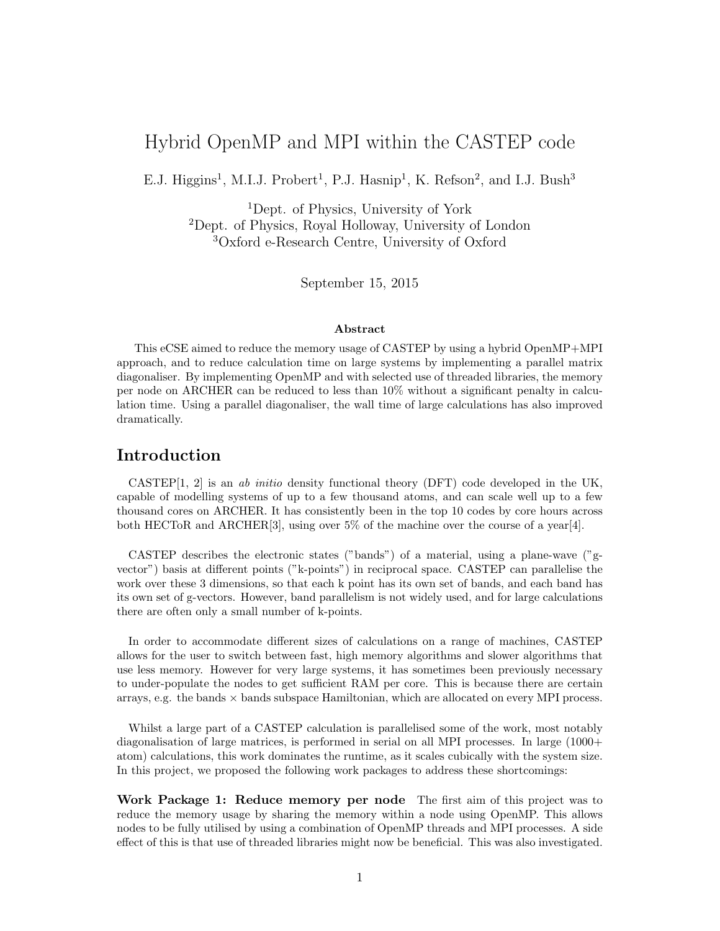# Hybrid OpenMP and MPI within the CASTEP code

E.J. Higgins<sup>1</sup>, M.I.J. Probert<sup>1</sup>, P.J. Hasnip<sup>1</sup>, K. Refson<sup>2</sup>, and I.J. Bush<sup>3</sup>

<sup>1</sup>Dept. of Physics, University of York <sup>2</sup>Dept. of Physics, Royal Holloway, University of London <sup>3</sup>Oxford e-Research Centre, University of Oxford

September 15, 2015

#### Abstract

This eCSE aimed to reduce the memory usage of CASTEP by using a hybrid OpenMP+MPI approach, and to reduce calculation time on large systems by implementing a parallel matrix diagonaliser. By implementing OpenMP and with selected use of threaded libraries, the memory per node on ARCHER can be reduced to less than 10% without a significant penalty in calculation time. Using a parallel diagonaliser, the wall time of large calculations has also improved dramatically.

# Introduction

CASTEP<sup>[1, 2]</sup> is an *ab initio* density functional theory (DFT) code developed in the UK, capable of modelling systems of up to a few thousand atoms, and can scale well up to a few thousand cores on ARCHER. It has consistently been in the top 10 codes by core hours across both HECToR and ARCHER[3], using over 5% of the machine over the course of a year[4].

CASTEP describes the electronic states ("bands") of a material, using a plane-wave ("gvector") basis at different points ("k-points") in reciprocal space. CASTEP can parallelise the work over these 3 dimensions, so that each k point has its own set of bands, and each band has its own set of g-vectors. However, band parallelism is not widely used, and for large calculations there are often only a small number of k-points.

In order to accommodate different sizes of calculations on a range of machines, CASTEP allows for the user to switch between fast, high memory algorithms and slower algorithms that use less memory. However for very large systems, it has sometimes been previously necessary to under-populate the nodes to get sufficient RAM per core. This is because there are certain arrays, e.g. the bands  $\times$  bands subspace Hamiltonian, which are allocated on every MPI process.

Whilst a large part of a CASTEP calculation is parallelised some of the work, most notably diagonalisation of large matrices, is performed in serial on all MPI processes. In large  $(1000+$ atom) calculations, this work dominates the runtime, as it scales cubically with the system size. In this project, we proposed the following work packages to address these shortcomings:

Work Package 1: Reduce memory per node The first aim of this project was to reduce the memory usage by sharing the memory within a node using OpenMP. This allows nodes to be fully utilised by using a combination of OpenMP threads and MPI processes. A side effect of this is that use of threaded libraries might now be beneficial. This was also investigated.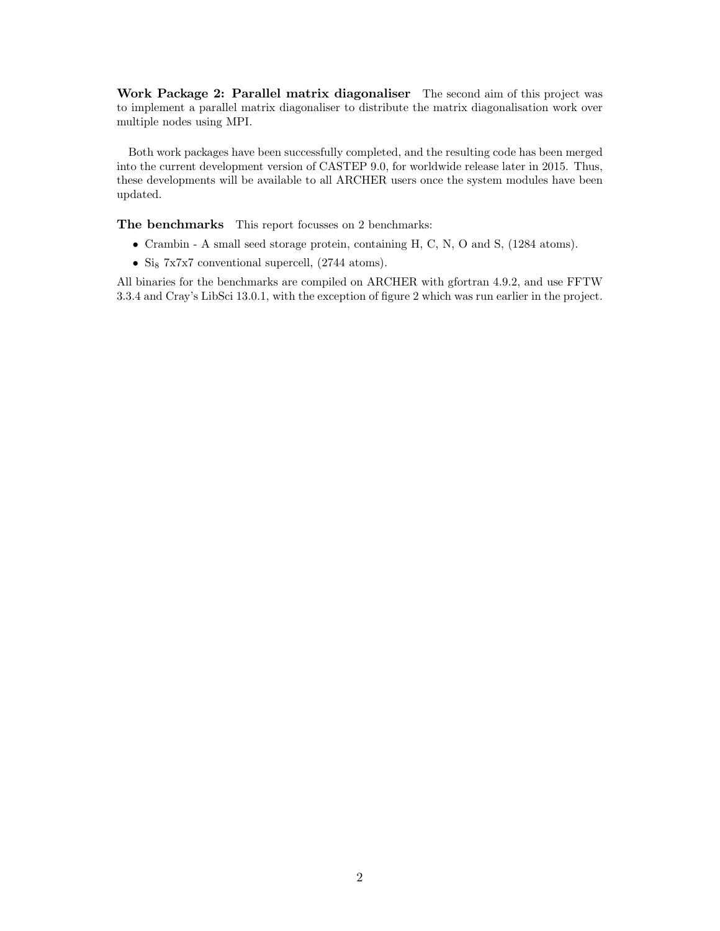Work Package 2: Parallel matrix diagonaliser The second aim of this project was to implement a parallel matrix diagonaliser to distribute the matrix diagonalisation work over multiple nodes using MPI.

Both work packages have been successfully completed, and the resulting code has been merged into the current development version of CASTEP 9.0, for worldwide release later in 2015. Thus, these developments will be available to all ARCHER users once the system modules have been updated.

The benchmarks This report focusses on 2 benchmarks:

- Crambin A small seed storage protein, containing H, C, N, O and S, (1284 atoms).
- Sig  $7x7x7$  conventional supercell,  $(2744 \text{ atoms}).$

All binaries for the benchmarks are compiled on ARCHER with gfortran 4.9.2, and use FFTW 3.3.4 and Cray's LibSci 13.0.1, with the exception of figure 2 which was run earlier in the project.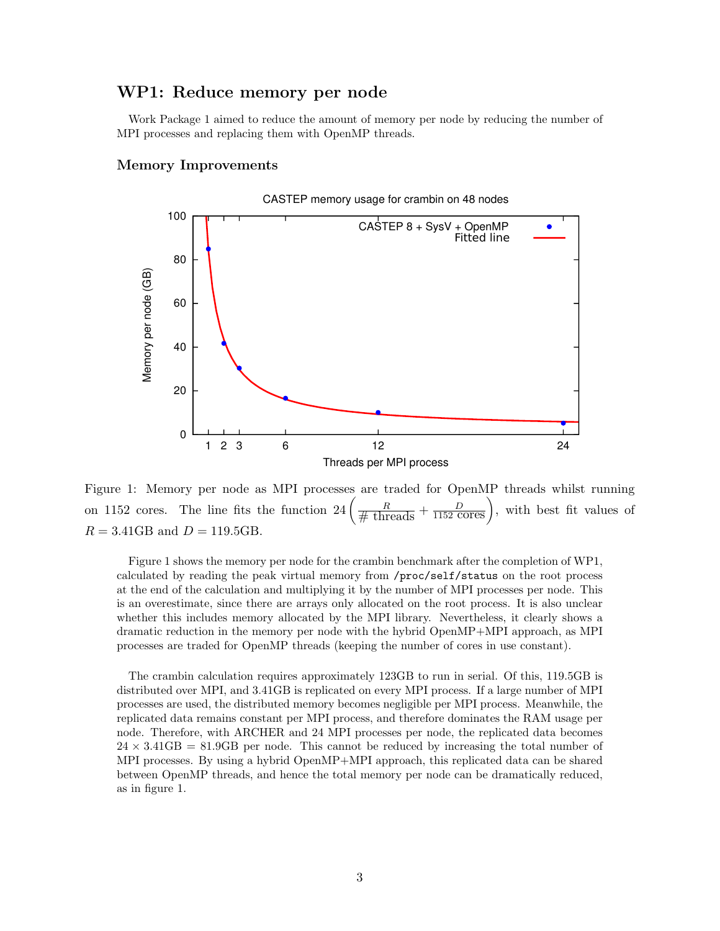# WP1: Reduce memory per node

Work Package 1 aimed to reduce the amount of memory per node by reducing the number of MPI processes and replacing them with OpenMP threads.

#### Memory Improvements



Figure 1: Memory per node as MPI processes are traded for OpenMP threads whilst running on 1152 cores. The line fits the function  $24\left(\frac{R}{\text{\# threads}}+\frac{D}{1152 \text{ cores}}\right)$ , with best fit values of  $R = 3.41$ GB and  $D = 119.5$ GB.

Figure 1 shows the memory per node for the crambin benchmark after the completion of WP1, calculated by reading the peak virtual memory from /proc/self/status on the root process at the end of the calculation and multiplying it by the number of MPI processes per node. This is an overestimate, since there are arrays only allocated on the root process. It is also unclear whether this includes memory allocated by the MPI library. Nevertheless, it clearly shows a dramatic reduction in the memory per node with the hybrid OpenMP+MPI approach, as MPI processes are traded for OpenMP threads (keeping the number of cores in use constant).

The crambin calculation requires approximately 123GB to run in serial. Of this, 119.5GB is distributed over MPI, and 3.41GB is replicated on every MPI process. If a large number of MPI processes are used, the distributed memory becomes negligible per MPI process. Meanwhile, the replicated data remains constant per MPI process, and therefore dominates the RAM usage per node. Therefore, with ARCHER and 24 MPI processes per node, the replicated data becomes  $24 \times 3.41 \text{GB} = 81.9 \text{GB}$  per node. This cannot be reduced by increasing the total number of MPI processes. By using a hybrid OpenMP+MPI approach, this replicated data can be shared between OpenMP threads, and hence the total memory per node can be dramatically reduced, as in figure 1.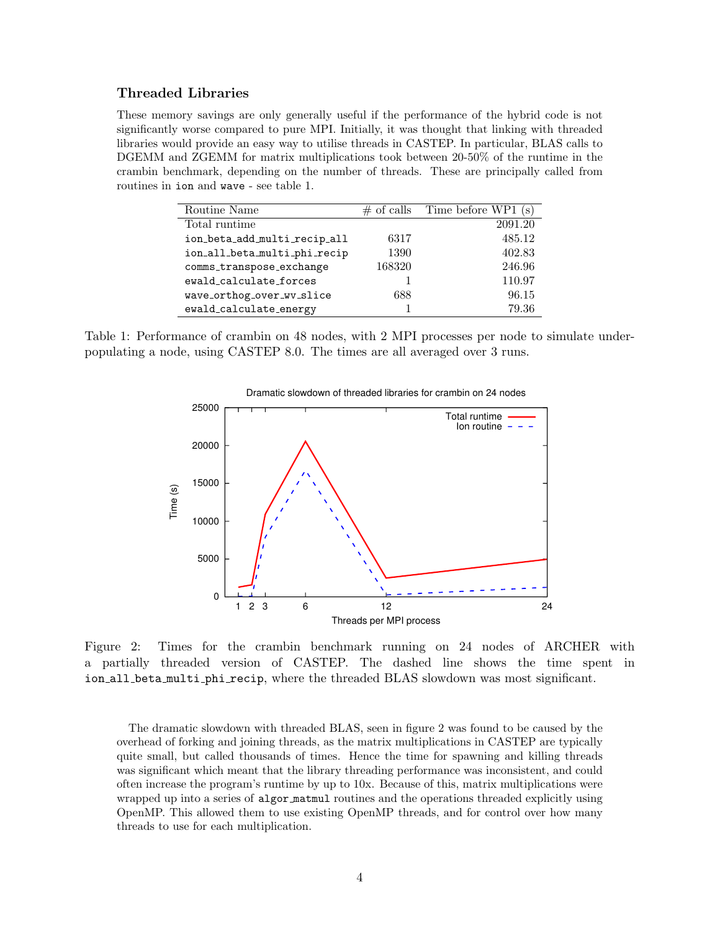### Threaded Libraries

These memory savings are only generally useful if the performance of the hybrid code is not significantly worse compared to pure MPI. Initially, it was thought that linking with threaded libraries would provide an easy way to utilise threads in CASTEP. In particular, BLAS calls to DGEMM and ZGEMM for matrix multiplications took between 20-50% of the runtime in the crambin benchmark, depending on the number of threads. These are principally called from routines in ion and wave - see table 1.

| Routine Name                 |        | $\#$ of calls Time before WP1 (s) |
|------------------------------|--------|-----------------------------------|
| Total runtime                |        | 2091.20                           |
| ion_beta_add_multi_recip_all | 6317   | 485.12                            |
| ion_all_beta_multi_phi_recip | 1390   | 402.83                            |
| comms_transpose_exchange     | 168320 | 246.96                            |
| ewald_calculate_forces       |        | 110.97                            |
| wave_orthog_over_wv_slice    | 688    | 96.15                             |
| ewald_calculate_energy       |        | 79.36                             |

Table 1: Performance of crambin on 48 nodes, with 2 MPI processes per node to simulate underpopulating a node, using CASTEP 8.0. The times are all averaged over 3 runs.



Dramatic slowdown of threaded libraries for crambin on 24 nodes

Figure 2: Times for the crambin benchmark running on 24 nodes of ARCHER with a partially threaded version of CASTEP. The dashed line shows the time spent in ion all beta multi phi recip, where the threaded BLAS slowdown was most significant.

The dramatic slowdown with threaded BLAS, seen in figure 2 was found to be caused by the overhead of forking and joining threads, as the matrix multiplications in CASTEP are typically quite small, but called thousands of times. Hence the time for spawning and killing threads was significant which meant that the library threading performance was inconsistent, and could often increase the program's runtime by up to 10x. Because of this, matrix multiplications were wrapped up into a series of algor matmul routines and the operations threaded explicitly using OpenMP. This allowed them to use existing OpenMP threads, and for control over how many threads to use for each multiplication.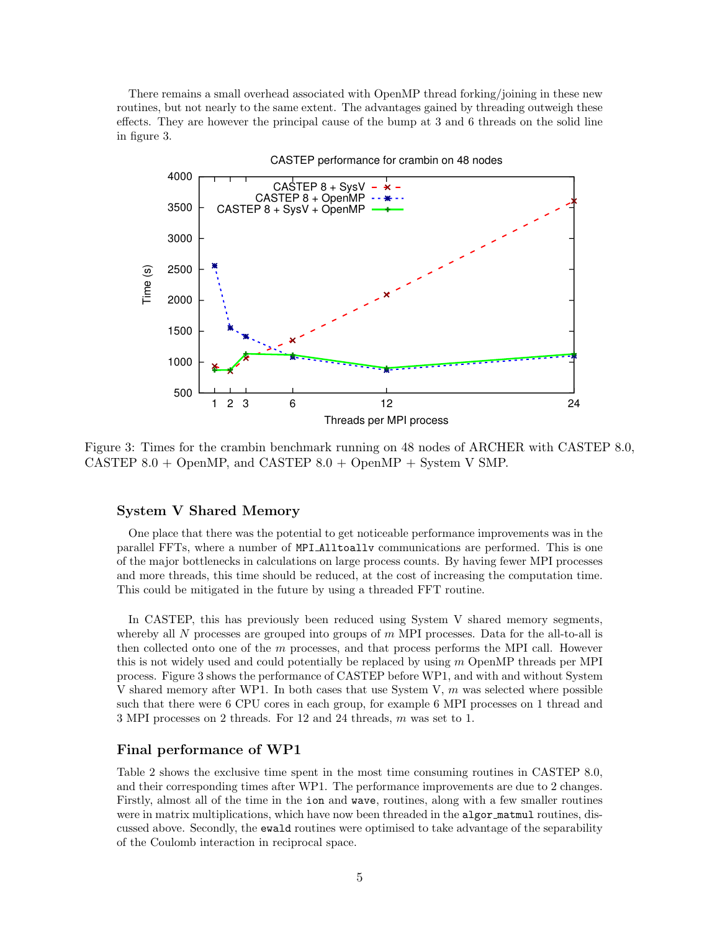There remains a small overhead associated with OpenMP thread forking/joining in these new routines, but not nearly to the same extent. The advantages gained by threading outweigh these effects. They are however the principal cause of the bump at 3 and 6 threads on the solid line in figure 3.



Figure 3: Times for the crambin benchmark running on 48 nodes of ARCHER with CASTEP 8.0, CASTEP  $8.0 +$  OpenMP, and CASTEP  $8.0 +$  OpenMP + System V SMP.

#### System V Shared Memory

One place that there was the potential to get noticeable performance improvements was in the parallel FFTs, where a number of MPI Alltoallv communications are performed. This is one of the major bottlenecks in calculations on large process counts. By having fewer MPI processes and more threads, this time should be reduced, at the cost of increasing the computation time. This could be mitigated in the future by using a threaded FFT routine.

In CASTEP, this has previously been reduced using System V shared memory segments, whereby all  $N$  processes are grouped into groups of  $m$  MPI processes. Data for the all-to-all is then collected onto one of the  $m$  processes, and that process performs the MPI call. However this is not widely used and could potentially be replaced by using  $m$  OpenMP threads per MPI process. Figure 3 shows the performance of CASTEP before WP1, and with and without System V shared memory after WP1. In both cases that use System V, m was selected where possible such that there were 6 CPU cores in each group, for example 6 MPI processes on 1 thread and 3 MPI processes on 2 threads. For 12 and 24 threads, m was set to 1.

#### Final performance of WP1

Table 2 shows the exclusive time spent in the most time consuming routines in CASTEP 8.0, and their corresponding times after WP1. The performance improvements are due to 2 changes. Firstly, almost all of the time in the ion and wave, routines, along with a few smaller routines were in matrix multiplications, which have now been threaded in the algor matmul routines, discussed above. Secondly, the ewald routines were optimised to take advantage of the separability of the Coulomb interaction in reciprocal space.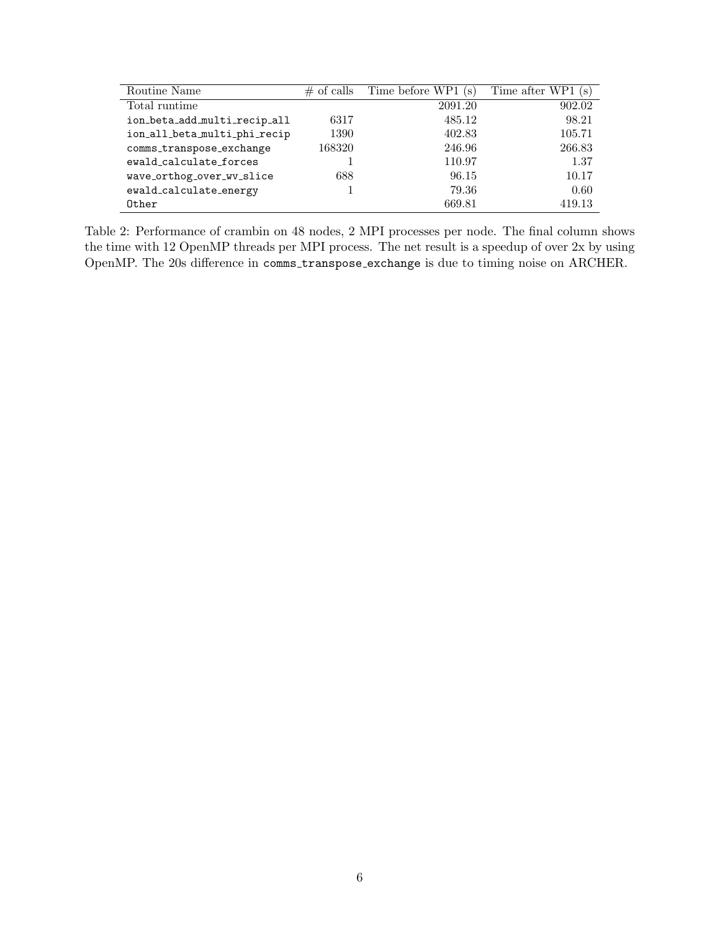| Routine Name                 | $\#$ of calls | Time before WP1 (s) | Time after WP1 (s) |
|------------------------------|---------------|---------------------|--------------------|
| Total runtime                |               | 2091.20             | 902.02             |
| ion_beta_add_multi_recip_all | 6317          | 485.12              | 98.21              |
| ion_all_beta_multi_phi_recip | 1390          | 402.83              | 105.71             |
| comms_transpose_exchange     | 168320        | 246.96              | 266.83             |
| ewald calculate forces       |               | 110.97              | 1.37               |
| wave_orthog_over_wv_slice    | 688           | 96.15               | 10.17              |
| ewald_calculate_energy       |               | 79.36               | 0.60               |
| Other                        |               | 669.81              | 419.13             |

Table 2: Performance of crambin on 48 nodes, 2 MPI processes per node. The final column shows the time with 12 OpenMP threads per MPI process. The net result is a speedup of over 2x by using OpenMP. The 20s difference in comms transpose exchange is due to timing noise on ARCHER.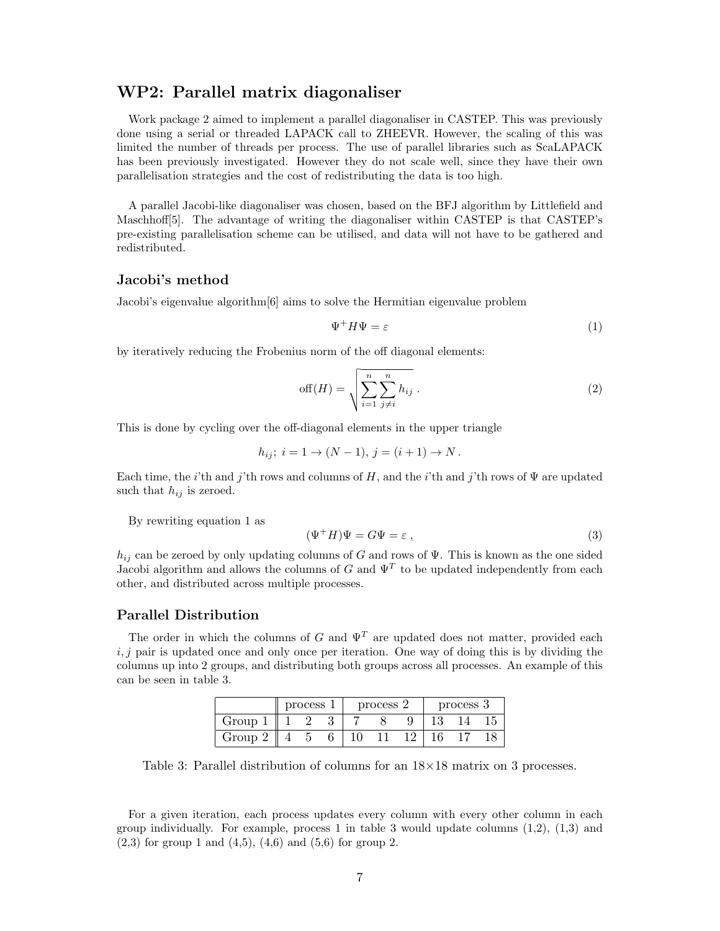# WP2: Parallel matrix diagonaliser

Work package 2 aimed to implement a parallel diagonaliser in CASTEP. This was previously done using a serial or threaded LAPACK call to ZHEEVR. However, the scaling of this was limited the number of threads per process. The use of parallel libraries such as ScaLAPACK has been previously investigated. However they do not scale well, since they have their own parallelisation strategies and the cost of redistributing the data is too high.

A parallel Jacobi-like diagonaliser was chosen, based on the BFJ algorithm by Littlefield and Maschhoff[5]. The advantage of writing the diagonaliser within CASTEP is that CASTEP's pre-existing parallelisation scheme can be utilised, and data will not have to be gathered and redistributed.

### Jacobi's method

Jacobi's eigenvalue algorithm[6] aims to solve the Hermitian eigenvalue problem

$$
\Psi^+ H \Psi = \varepsilon \tag{1}
$$

by iteratively reducing the Frobenius norm of the off diagonal elements:

$$
off(H) = \sqrt{\sum_{i=1}^{n} \sum_{j \neq i}^{n} h_{ij}}.
$$
 (2)

This is done by cycling over the off-diagonal elements in the upper triangle

$$
h_{ij}
$$
;  $i = 1 \rightarrow (N - 1), j = (i + 1) \rightarrow N$ .

Each time, the *i*'th and *j*'th rows and columns of H, and the *i*'th and *j*'th rows of  $\Psi$  are updated such that  $h_{ij}$  is zeroed.

By rewriting equation 1 as

$$
(\Psi^+ H)\Psi = G\Psi = \varepsilon \,,\tag{3}
$$

 $h_{ij}$  can be zeroed by only updating columns of G and rows of  $\Psi$ . This is known as the one sided Jacobi algorithm and allows the columns of G and  $\Psi^T$  to be updated independently from each other, and distributed across multiple processes.

#### Parallel Distribution

The order in which the columns of G and  $\Psi^T$  are updated does not matter, provided each  $i, j$  pair is updated once and only once per iteration. One way of doing this is by dividing the columns up into 2 groups, and distributing both groups across all processes. An example of this can be seen in table 3.

|        | process |  | process 2 |  |  | process 3 |  |  |
|--------|---------|--|-----------|--|--|-----------|--|--|
| Group  |         |  |           |  |  |           |  |  |
| Group? |         |  |           |  |  |           |  |  |

Table 3: Parallel distribution of columns for an  $18\times18$  matrix on 3 processes.

For a given iteration, each process updates every column with every other column in each group individually. For example, process 1 in table 3 would update columns  $(1,2)$ ,  $(1,3)$  and  $(2,3)$  for group 1 and  $(4,5)$ ,  $(4,6)$  and  $(5,6)$  for group 2.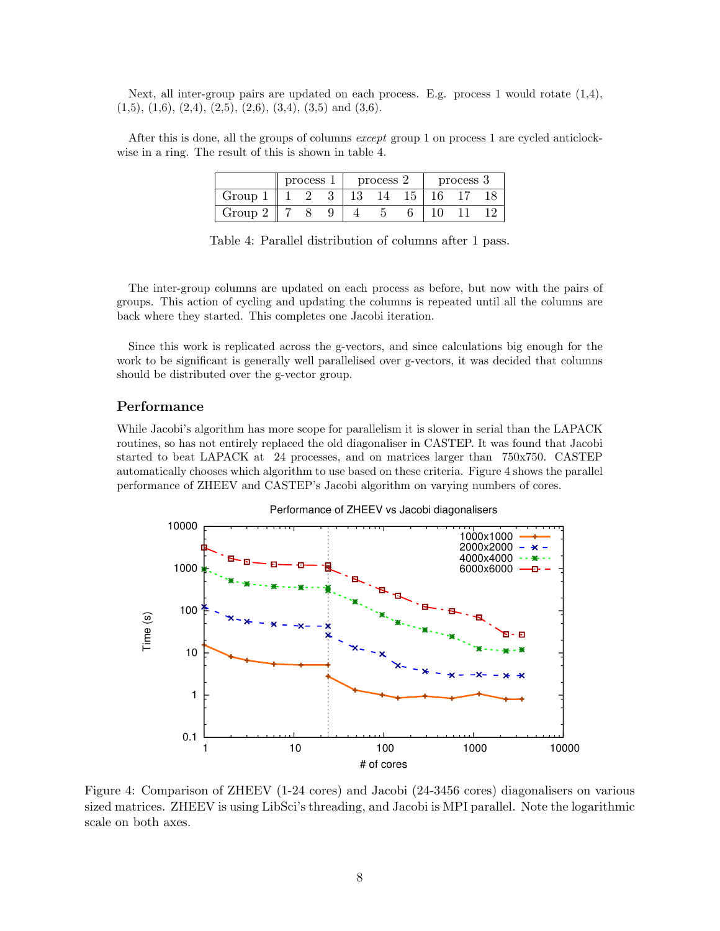Next, all inter-group pairs are updated on each process. E.g. process 1 would rotate (1,4),  $(1,5), (1,6), (2,4), (2,5), (2,6), (3,4), (3,5) \text{ and } (3,6).$ 

After this is done, all the groups of columns except group 1 on process 1 are cycled anticlockwise in a ring. The result of this is shown in table 4.

|                  | process |  | process 2 |  |  | process 3 |  |  |  |
|------------------|---------|--|-----------|--|--|-----------|--|--|--|
| Group            |         |  |           |  |  |           |  |  |  |
| Group $^{\circ}$ |         |  |           |  |  |           |  |  |  |

Table 4: Parallel distribution of columns after 1 pass.

The inter-group columns are updated on each process as before, but now with the pairs of groups. This action of cycling and updating the columns is repeated until all the columns are back where they started. This completes one Jacobi iteration.

Since this work is replicated across the g-vectors, and since calculations big enough for the work to be significant is generally well parallelised over g-vectors, it was decided that columns should be distributed over the g-vector group.

### Performance

While Jacobi's algorithm has more scope for parallelism it is slower in serial than the LAPACK routines, so has not entirely replaced the old diagonaliser in CASTEP. It was found that Jacobi started to beat LAPACK at 24 processes, and on matrices larger than 750x750. CASTEP automatically chooses which algorithm to use based on these criteria. Figure 4 shows the parallel performance of ZHEEV and CASTEP's Jacobi algorithm on varying numbers of cores.



Figure 4: Comparison of ZHEEV (1-24 cores) and Jacobi (24-3456 cores) diagonalisers on various sized matrices. ZHEEV is using LibSci's threading, and Jacobi is MPI parallel. Note the logarithmic scale on both axes.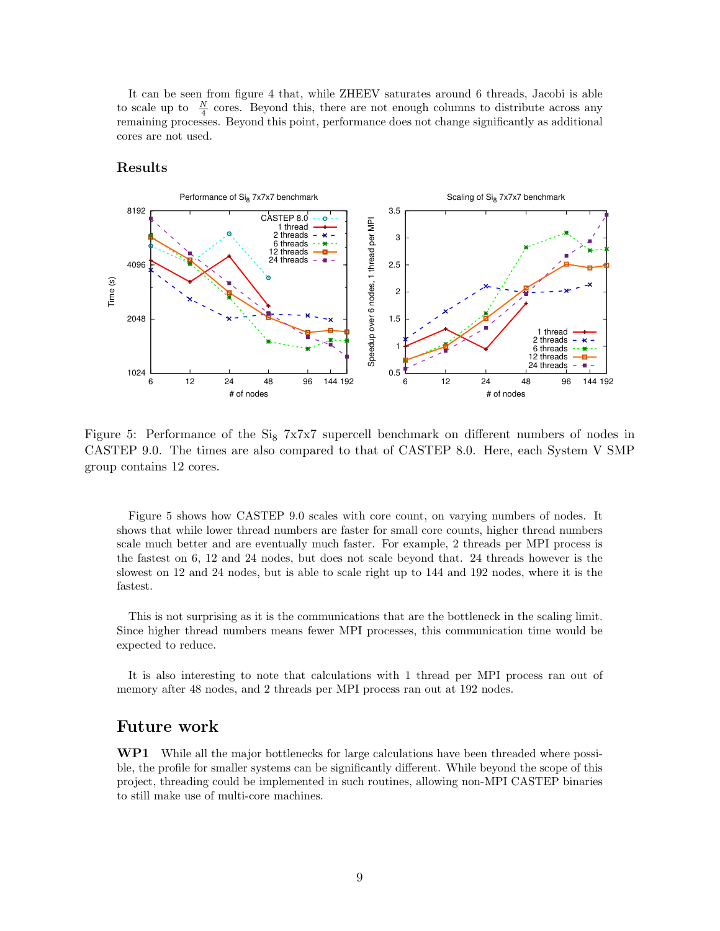It can be seen from figure 4 that, while ZHEEV saturates around 6 threads, Jacobi is able to scale up to  $\frac{N}{4}$  cores. Beyond this, there are not enough columns to distribute across any remaining processes. Beyond this point, performance does not change significantly as additional cores are not used.

### Results



Figure 5: Performance of the  $Si_8$  7x7x7 supercell benchmark on different numbers of nodes in CASTEP 9.0. The times are also compared to that of CASTEP 8.0. Here, each System V SMP group contains 12 cores.

Figure 5 shows how CASTEP 9.0 scales with core count, on varying numbers of nodes. It shows that while lower thread numbers are faster for small core counts, higher thread numbers scale much better and are eventually much faster. For example, 2 threads per MPI process is the fastest on 6, 12 and 24 nodes, but does not scale beyond that. 24 threads however is the slowest on 12 and 24 nodes, but is able to scale right up to 144 and 192 nodes, where it is the fastest.

This is not surprising as it is the communications that are the bottleneck in the scaling limit. Since higher thread numbers means fewer MPI processes, this communication time would be expected to reduce.

It is also interesting to note that calculations with 1 thread per MPI process ran out of memory after 48 nodes, and 2 threads per MPI process ran out at 192 nodes.

# Future work

WP1 While all the major bottlenecks for large calculations have been threaded where possible, the profile for smaller systems can be significantly different. While beyond the scope of this project, threading could be implemented in such routines, allowing non-MPI CASTEP binaries to still make use of multi-core machines.